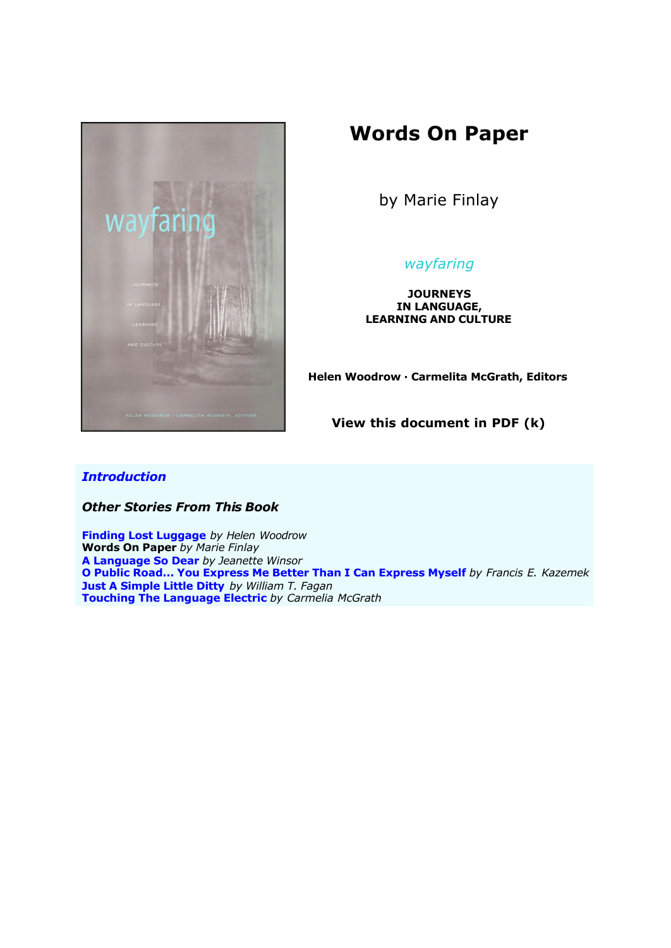

# **Words On Paper**

by Marie Finlay

## *wayfaring*

**JOURNEYS IN LANGUAGE, LEARNING AND CULTURE**

**Helen Woodrow · Carmelita McGrath, Editors**

**View this document in PDF (k)**

### *Introduction*

*Other Stories From This Book*

**Finding Lost Luggage** *by Helen Woodrow* **Words On Paper** *by Marie Finlay* **A Language So Dear** *by Jeanette Winsor* **O Public Road... You Express Me Better Than I Can Express Myself** *by Francis E. Kazemek* **Just A Simple Little Ditty** *by William T. Fagan* **Touching The Language Electric** *by Carmelia McGrath*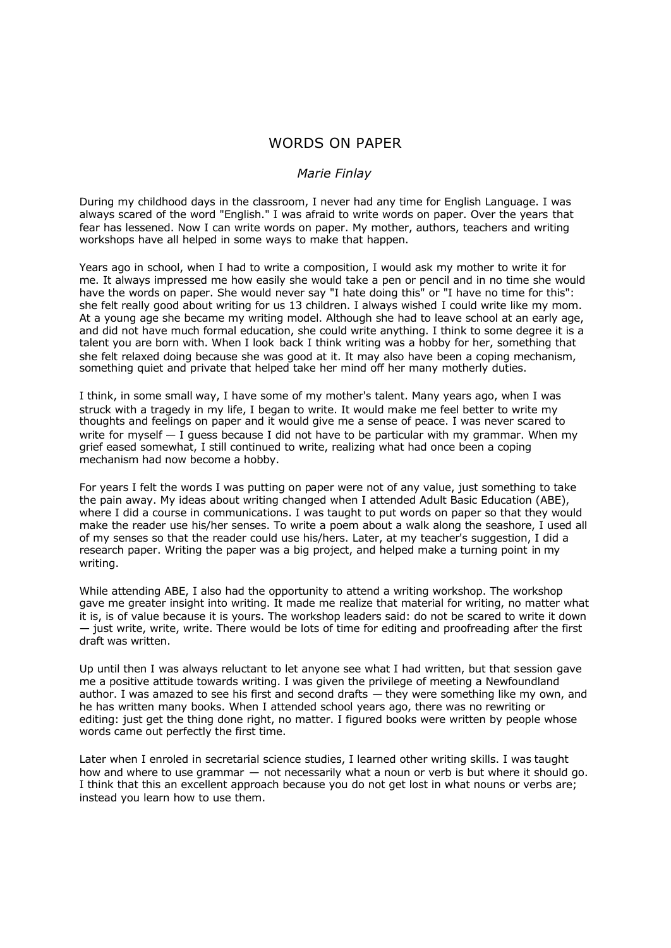### WORDS ON PAPER

#### *Marie Finlay*

During my childhood days in the classroom, I never had any time for English Language. I was always scared of the word "English." I was afraid to write words on paper. Over the years that fear has lessened. Now I can write words on paper. My mother, authors, teachers and writing workshops have all helped in some ways to make that happen.

Years ago in school, when I had to write a composition, I would ask my mother to write it for me. It always impressed me how easily she would take a pen or pencil and in no time she would have the words on paper. She would never say "I hate doing this" or "I have no time for this": she felt really good about writing for us 13 children. I always wished I could write like my mom. At a young age she became my writing model. Although she had to leave school at an early age, and did not have much formal education, she could write anything. I think to some degree it is a talent you are born with. When I look back I think writing was a hobby for her, something that she felt relaxed doing because she was good at it. It may also have been a coping mechanism, something quiet and private that helped take her mind off her many motherly duties.

I think, in some small way, I have some of my mother's talent. Many years ago, when I was struck with a tragedy in my life, I began to write. It would make me feel better to write my thoughts and feelings on paper and it would give me a sense of peace. I was never scared to write for myself  $-1$  guess because I did not have to be particular with my grammar. When my grief eased somewhat, I still continued to write, realizing what had once been a coping mechanism had now become a hobby.

For years I felt the words I was putting on paper were not of any value, just something to take the pain away. My ideas about writing changed when I attended Adult Basic Education (ABE), where I did a course in communications. I was taught to put words on paper so that they would make the reader use his/her senses. To write a poem about a walk along the seashore, I used all of my senses so that the reader could use his/hers. Later, at my teacher's suggestion, I did a research paper. Writing the paper was a big project, and helped make a turning point in my writing.

While attending ABE, I also had the opportunity to attend a writing workshop. The workshop gave me greater insight into writing. It made me realize that material for writing, no matter what it is, is of value because it is yours. The workshop leaders said: do not be scared to write it down — just write, write, write. There would be lots of time for editing and proofreading after the first draft was written.

Up until then I was always reluctant to let anyone see what I had written, but that session gave me a positive attitude towards writing. I was given the privilege of meeting a Newfoundland author. I was amazed to see his first and second drafts — they were something like my own, and he has written many books. When I attended school years ago, there was no rewriting or editing: just get the thing done right, no matter. I figured books were written by people whose words came out perfectly the first time.

Later when I enroled in secretarial science studies, I learned other writing skills. I was taught how and where to use grammar — not necessarily what a noun or verb is but where it should go. I think that this an excellent approach because you do not get lost in what nouns or verbs are; instead you learn how to use them.